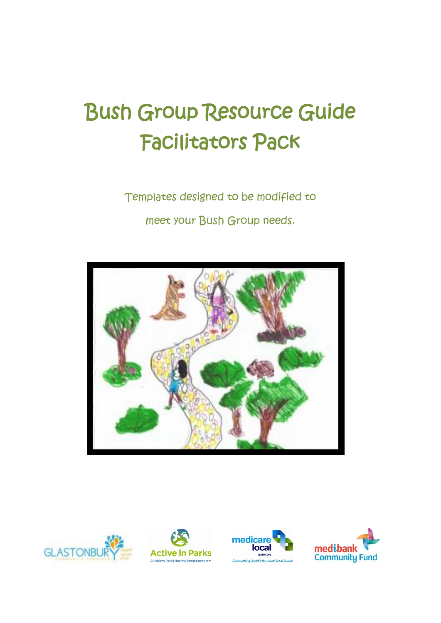# Bush Group Resource Guide Facilitators Pack

Templates designed to be modified to meet your Bush Group needs.









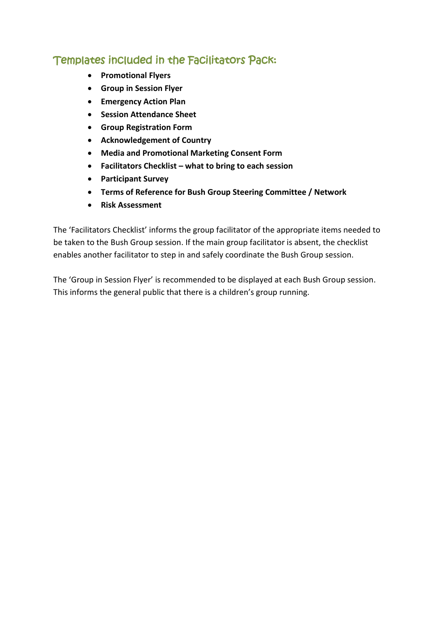# Templates included in the Facilitators Pack:

- **Promotional Flyers**
- **Group in Session Flyer**
- **Emergency Action Plan**
- **•** Session Attendance Sheet
- **Group Registration Form**
- **Acknowledgement of Country**
- **Media and Promotional Marketing Consent Form**
- **Facilitators Checklist – what to bring to each session**
- **Participant Survey**
- **Terms of Reference for Bush Group Steering Committee / Network**
- **Risk Assessment**

The 'Facilitators Checklist' informs the group facilitator of the appropriate items needed to be taken to the Bush Group session. If the main group facilitator is absent, the checklist enables another facilitator to step in and safely coordinate the Bush Group session.

The 'Group in Session Flyer' is recommended to be displayed at each Bush Group session. This informs the general public that there is a children's group running.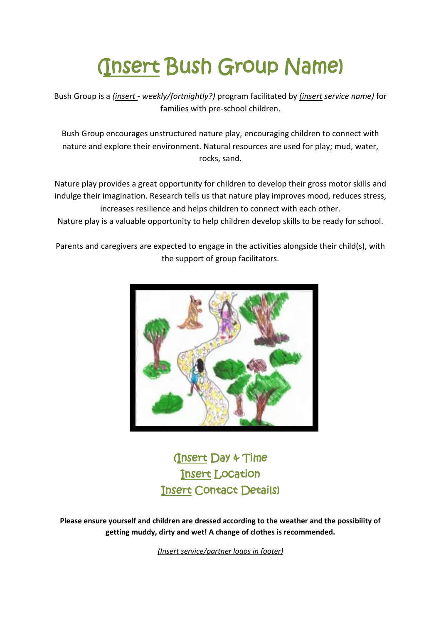# (Insert Bush Group Name)

Bush Group is a *(insert - weekly/fortnightly?)* program facilitated by *(insert service name)* for families with pre-school children.

Bush Group encourages unstructured nature play, encouraging children to connect with nature and explore their environment. Natural resources are used for play; mud, water, rocks, sand.

Nature play provides a great opportunity for children to develop their gross motor skills and indulge their imagination. Research tells us that nature play improves mood, reduces stress, increases resilience and helps children to connect with each other.

Nature play is a valuable opportunity to help children develop skills to be ready for school.

Parents and caregivers are expected to engage in the activities alongside their child(s), with the support of group facilitators.



(Insert Day & Time Insert Location Insert Contact Details)

**Please ensure yourself and children are dressed according to the weather and the possibility of getting muddy, dirty and wet! A change of clothes is recommended.** 

*(Insert service/partner logos in footer)*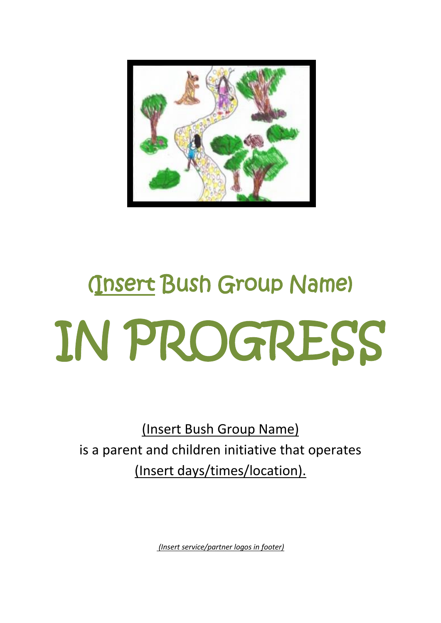

# (Insert Bush Group Name) IN PROGRESS

(Insert Bush Group Name) is a parent and children initiative that operates (Insert days/times/location).

*(Insert service/partner logos in footer)*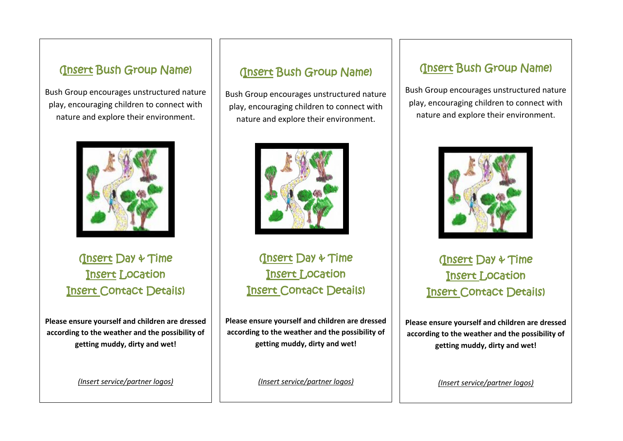# (Insert Bush Group Name)

Bush Group encourages unstructured nature play, encouraging children to connect with nature and explore their environment.



(Insert Day & Time Insert Location Insert Contact Details)

**Please ensure yourself and children are dressed according to the weather and the possibility of getting muddy, dirty and wet!**

*(Insert service/partner logos)*

## (Insert Bush Group Name)

Bush Group encourages unstructured nature play, encouraging children to connect with nature and explore their environment.



(Insert Day & Time Insert Location Insert Contact Details)

**Please ensure yourself and children are dressed according to the weather and the possibility of getting muddy, dirty and wet!**

*(Insert service/partner logos)*

## (Insert Bush Group Name)

Bush Group encourages unstructured nature play, encouraging children to connect with nature and explore their environment.



(Insert Day & Time Insert Location Insert Contact Details)

**Please ensure yourself and children are dressed according to the weather and the possibility of getting muddy, dirty and wet!**

*(Insert service/partner logos)*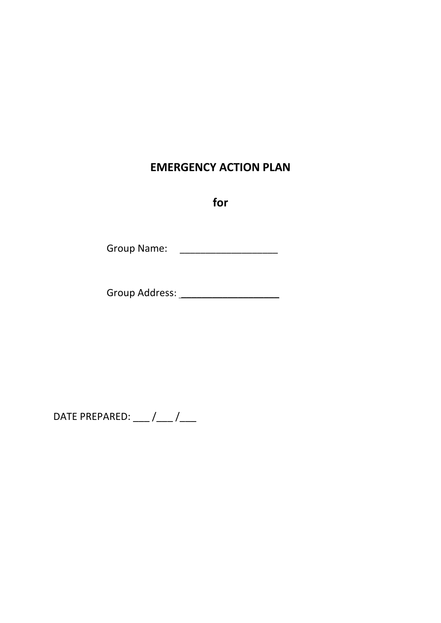# **EMERGENCY ACTION PLAN**

**for**

Group Name: \_\_\_\_\_\_\_\_\_\_\_\_\_\_\_\_\_\_\_

Group Address: \_\_\_\_\_\_\_\_\_\_\_\_\_\_\_\_\_\_\_

DATE PREPARED:  $\frac{1}{2}$  / $\frac{1}{2}$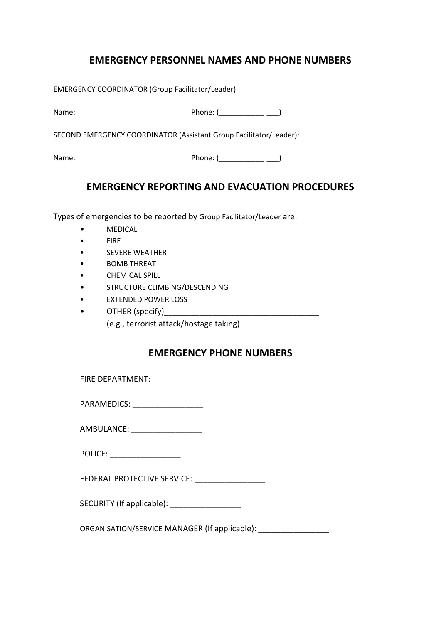#### **EMERGENCY PERSONNEL NAMES AND PHONE NUMBERS**

EMERGENCY COORDINATOR (Group Facilitator/Leader):

Name: Phone: (\_\_\_\_\_\_\_\_\_\_\_ \_\_\_)

SECOND EMERGENCY COORDINATOR (Assistant Group Facilitator/Leader):

Name: Phone: (\_\_\_\_\_\_\_\_\_\_\_ \_\_\_)

#### **EMERGENCY REPORTING AND EVACUATION PROCEDURES**

Types of emergencies to be reported by Group Facilitator/Leader are:

- MEDICAL
- FIRE
- SEVERE WEATHER
- BOMB THREAT
- CHEMICAL SPILL
- STRUCTURE CLIMBING/DESCENDING
- EXTENDED POWER LOSS
- $OTHER$  (specify)

(e.g., terrorist attack/hostage taking)

#### **EMERGENCY PHONE NUMBERS**

FIRE DEPARTMENT:

| PARAMEDICS: |  |
|-------------|--|
|             |  |

AMBULANCE:

POLICE: **with a set of the set of the set of the set of the set of the set of the set of the set of the set of the set of the set of the set of the set of the set of the set of the set of the set of the set of the set of t** 

FEDERAL PROTECTIVE SERVICE:

SECURITY (If applicable):

ORGANISATION/SERVICE MANAGER (If applicable):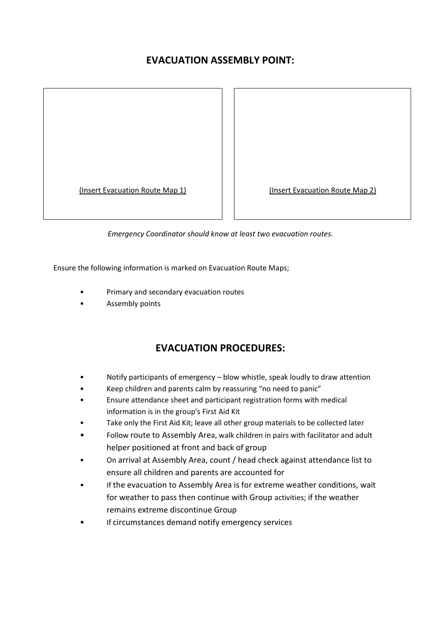#### **EVACUATION ASSEMBLY POINT:**

(Insert Evacuation Route Map 1) (Insert Evacuation Route Map 2)

*Emergency Coordinator should know at least two evacuation routes.*

Ensure the following information is marked on Evacuation Route Maps;

- Primary and secondary evacuation routes
- Assembly points

#### **EVACUATION PROCEDURES:**

- Notify participants of emergency blow whistle, speak loudly to draw attention
- Keep children and parents calm by reassuring "no need to panic"
- Ensure attendance sheet and participant registration forms with medical information is in the group's First Aid Kit
- Take only the First Aid Kit; leave all other group materials to be collected later
- Follow route to Assembly Area, walk children in pairs with facilitator and adult helper positioned at front and back of group
- On arrival at Assembly Area, count / head check against attendance list to ensure all children and parents are accounted for
- If the evacuation to Assembly Area is for extreme weather conditions, wait for weather to pass then continue with Group activities; if the weather remains extreme discontinue Group
- If circumstances demand notify emergency services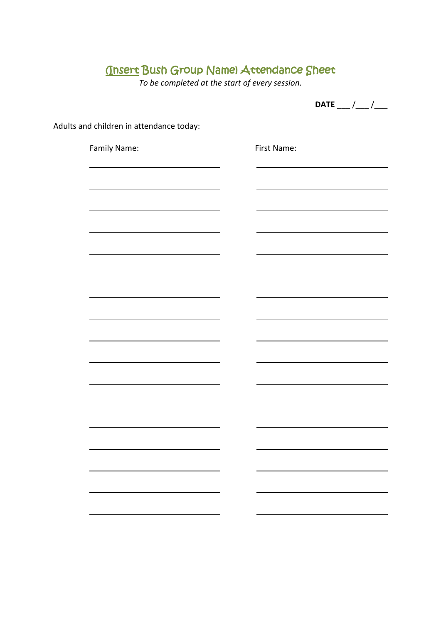# (Insert Bush Group Name) Attendance Sheet

*To be completed at the start of every session.*

**DATE** \_\_\_ /\_\_\_ /\_\_\_

Adults and children in attendance today:

| Family Name: | First Name: |
|--------------|-------------|
|              |             |
|              |             |
|              |             |
|              |             |
|              |             |
|              |             |
|              |             |
|              |             |
|              |             |
|              |             |
|              |             |
|              |             |
|              |             |
|              |             |
|              |             |
|              |             |
|              |             |
|              |             |
|              |             |
|              |             |
|              |             |
|              |             |
|              |             |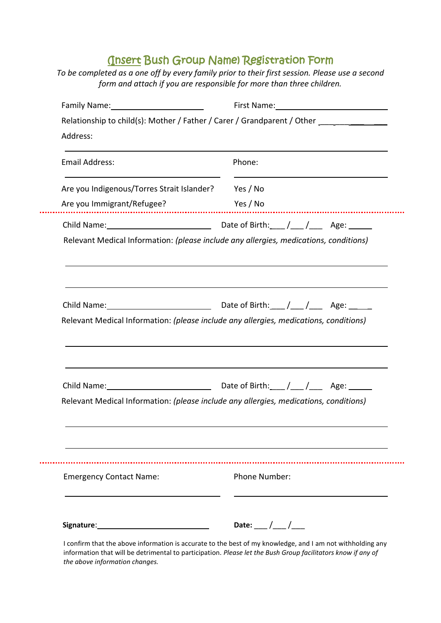# (Insert Bush Group Name) Registration Form

*To be completed as a one off by every family prior to their first session. Please use a second form and attach if you are responsible for more than three children.*

| Family Name: 1997 Manual Manual Manual Manual Manual Manual Manual Manual Manual Manual Manual Manual Manual M                                                                                                                                                                                                          |               |  |  |  |
|-------------------------------------------------------------------------------------------------------------------------------------------------------------------------------------------------------------------------------------------------------------------------------------------------------------------------|---------------|--|--|--|
| Relationship to child(s): Mother / Father / Carer / Grandparent / Other _________                                                                                                                                                                                                                                       |               |  |  |  |
| Address:                                                                                                                                                                                                                                                                                                                |               |  |  |  |
| <b>Email Address:</b>                                                                                                                                                                                                                                                                                                   | Phone:        |  |  |  |
| Are you Indigenous/Torres Strait Islander?                                                                                                                                                                                                                                                                              | Yes / No      |  |  |  |
| Are you Immigrant/Refugee?<br><b>Example 18</b> Yes / No                                                                                                                                                                                                                                                                |               |  |  |  |
|                                                                                                                                                                                                                                                                                                                         |               |  |  |  |
| Relevant Medical Information: (please include any allergies, medications, conditions)                                                                                                                                                                                                                                   |               |  |  |  |
|                                                                                                                                                                                                                                                                                                                         |               |  |  |  |
|                                                                                                                                                                                                                                                                                                                         |               |  |  |  |
|                                                                                                                                                                                                                                                                                                                         |               |  |  |  |
|                                                                                                                                                                                                                                                                                                                         |               |  |  |  |
|                                                                                                                                                                                                                                                                                                                         |               |  |  |  |
|                                                                                                                                                                                                                                                                                                                         |               |  |  |  |
|                                                                                                                                                                                                                                                                                                                         |               |  |  |  |
|                                                                                                                                                                                                                                                                                                                         |               |  |  |  |
|                                                                                                                                                                                                                                                                                                                         |               |  |  |  |
|                                                                                                                                                                                                                                                                                                                         |               |  |  |  |
|                                                                                                                                                                                                                                                                                                                         |               |  |  |  |
| Relevant Medical Information: (please include any allergies, medications, conditions)<br>Child Name: Child Name: Child Name: Child Name: Child Name: Child Name: Child Name: Child Name: Child Name On Date of Birth: Child Name On Date of Birth: Child Name On Date of Birth: Child Name On Date of Birth: Child Name |               |  |  |  |
| Relevant Medical Information: (please include any allergies, medications, conditions)                                                                                                                                                                                                                                   |               |  |  |  |
|                                                                                                                                                                                                                                                                                                                         |               |  |  |  |
|                                                                                                                                                                                                                                                                                                                         |               |  |  |  |
|                                                                                                                                                                                                                                                                                                                         |               |  |  |  |
|                                                                                                                                                                                                                                                                                                                         |               |  |  |  |
|                                                                                                                                                                                                                                                                                                                         | Phone Number: |  |  |  |
| <b>Emergency Contact Name:</b>                                                                                                                                                                                                                                                                                          |               |  |  |  |
|                                                                                                                                                                                                                                                                                                                         |               |  |  |  |

 I confirm that the above information is accurate to the best of my knowledge, and I am not withholding any information that will be detrimental to participation. *Please let the Bush Group facilitators know if any of the above information changes.*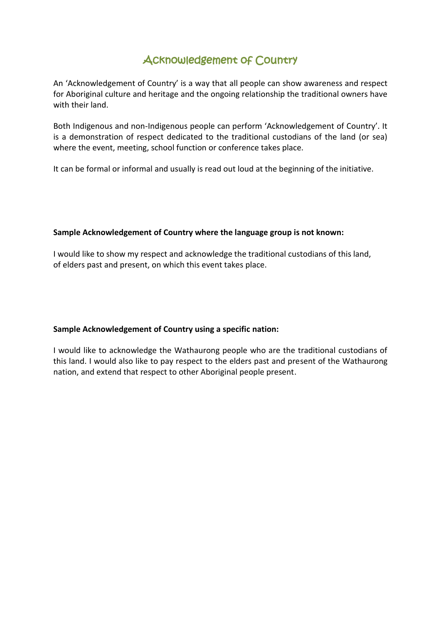# Acknowledgement of Country

An 'Acknowledgement of Country' is a way that all people can show awareness and respect for Aboriginal culture and heritage and the ongoing relationship the traditional owners have with their land.

Both Indigenous and non-Indigenous people can perform 'Acknowledgement of Country'. It is a demonstration of respect dedicated to the traditional custodians of the land (or sea) where the event, meeting, school function or conference takes place.

It can be formal or informal and usually is read out loud at the beginning of the initiative.

#### **Sample Acknowledgement of Country where the language group is not known:**

I would like to show my respect and acknowledge the traditional custodians of this land, of elders past and present, on which this event takes place.

#### **Sample Acknowledgement of Country using a specific nation:**

I would like to acknowledge the Wathaurong people who are the traditional custodians of this land. I would also like to pay respect to the elders past and present of the Wathaurong nation, and extend that respect to other Aboriginal people present.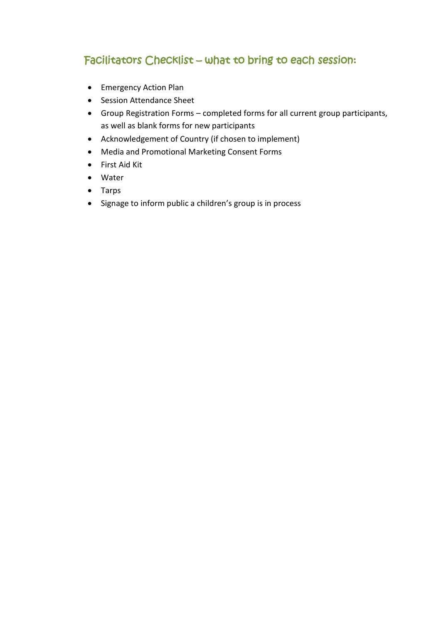# Facilitators Checklist – what to bring to each session:

- Emergency Action Plan
- Session Attendance Sheet
- Group Registration Forms completed forms for all current group participants, as well as blank forms for new participants
- Acknowledgement of Country (if chosen to implement)
- Media and Promotional Marketing Consent Forms
- First Aid Kit
- Water
- Tarps
- Signage to inform public a children's group is in process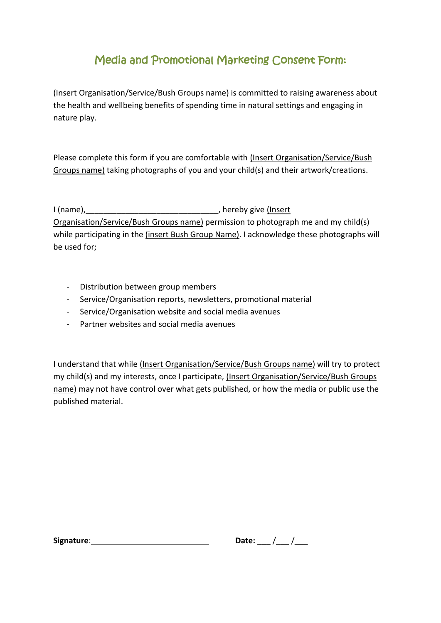# Media and Promotional Marketing Consent Form:

(Insert Organisation/Service/Bush Groups name) is committed to raising awareness about the health and wellbeing benefits of spending time in natural settings and engaging in nature play.

Please complete this form if you are comfortable with (Insert Organisation/Service/Bush Groups name) taking photographs of you and your child(s) and their artwork/creations.

I (name),\_\_\_\_\_\_\_\_\_\_\_\_\_\_\_\_\_\_\_\_\_\_\_\_\_\_\_\_\_\_, hereby give (Insert Organisation/Service/Bush Groups name) permission to photograph me and my child(s) while participating in the (insert Bush Group Name). I acknowledge these photographs will be used for;

- Distribution between group members
- Service/Organisation reports, newsletters, promotional material
- Service/Organisation website and social media avenues
- Partner websites and social media avenues

I understand that while (Insert Organisation/Service/Bush Groups name) will try to protect my child(s) and my interests, once I participate, (Insert Organisation/Service/Bush Groups name) may not have control over what gets published, or how the media or public use the published material.

**Signature:**  $\blacksquare$ 

| ٥.<br>ובו<br>D.<br>. . |  |  |
|------------------------|--|--|
|------------------------|--|--|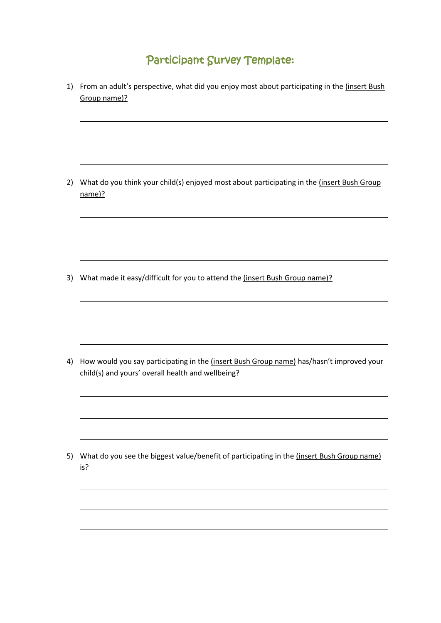# Participant Survey Template:

1) From an adult's perspective, what did you enjoy most about participating in the (insert Bush Group name)? 2) What do you think your child(s) enjoyed most about participating in the (insert Bush Group name)? 3) What made it easy/difficult for you to attend the (insert Bush Group name)? 4) How would you say participating in the *(insert Bush Group name)* has/hasn't improved your child(s) and yours' overall health and wellbeing? 5) What do you see the biggest value/benefit of participating in the linsert Bush Group name) is? L  $\overline{\phantom{0}}$ 

 $\overline{\phantom{0}}$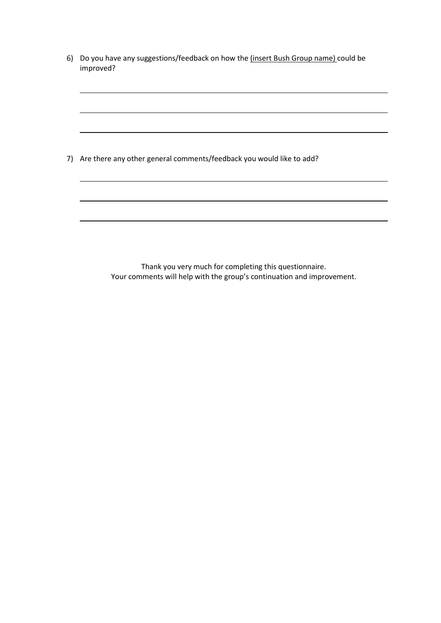| 6) Do you have any suggestions/feedback on how the (insert Bush Group name) could be |
|--------------------------------------------------------------------------------------|
| improved?                                                                            |

L

L

 $\overline{\phantom{0}}$ 

L

 $\overline{\phantom{0}}$ 

L

|  |  |  |  | 7) Are there any other general comments/feedback you would like to add? |
|--|--|--|--|-------------------------------------------------------------------------|
|--|--|--|--|-------------------------------------------------------------------------|

Thank you very much for completing this questionnaire. Your comments will help with the group's continuation and improvement.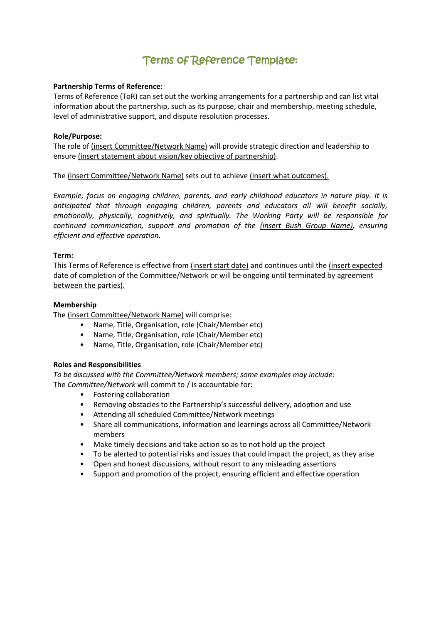# Terms of Reference Template:

#### **Partnership Terms of Reference:**

Terms of Reference (ToR) can set out the working arrangements for a partnership and can list vital information about the partnership, such as its purpose, chair and membership, meeting schedule, level of administrative support, and dispute resolution processes.

#### **Role/Purpose:**

The role of (insert Committee/Network Name) will provide strategic direction and leadership to ensure (insert statement about vision/key objective of partnership).

#### The (insert Committee/Network Name) sets out to achieve (insert what outcomes).

*Example; focus on engaging children, parents, and early childhood educators in nature play. It is anticipated that through engaging children, parents and educators all will benefit socially, emotionally, physically, cognitively, and spiritually. The Working Party will be responsible for continued communication, support and promotion of the (insert Bush Group Name), ensuring efficient and effective operation.*

#### **Term:**

This Terms of Reference is effective from (insert start date) and continues until the (insert expected date of completion of the Committee/Network or will be ongoing until terminated by agreement between the parties).

#### **Membership**

The (insert Committee/Network Name) will comprise:

- Name, Title, Organisation, role (Chair/Member etc)
- Name, Title, Organisation, role (Chair/Member etc)
- Name, Title, Organisation, role (Chair/Member etc)

#### **Roles and Responsibilities**

*To be discussed with the Committee/Network members; some examples may include:*  The *Committee/Network* will commit to / is accountable for:

- Fostering collaboration
- Removing obstacles to the Partnership's successful delivery, adoption and use
- Attending all scheduled Committee/Network meetings
- Share all communications, information and learnings across all Committee/Network members
- Make timely decisions and take action so as to not hold up the project
- To be alerted to potential risks and issues that could impact the project, as they arise
- Open and honest discussions, without resort to any misleading assertions
- Support and promotion of the project, ensuring efficient and effective operation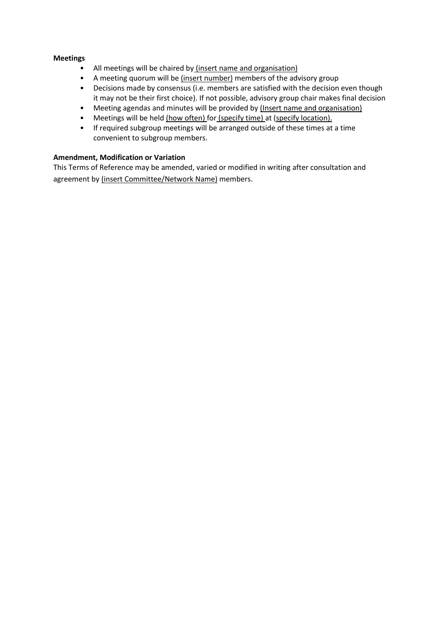#### **Meetings**

- All meetings will be chaired by (insert name and organisation)
- A meeting quorum will be (insert number) members of the advisory group
- Decisions made by consensus (i.e. members are satisfied with the decision even though it may not be their first choice). If not possible, advisory group chair makes final decision
- Meeting agendas and minutes will be provided by (Insert name and organisation)
- Meetings will be held (how often) for (specify time) at (specify location).
- If required subgroup meetings will be arranged outside of these times at a time convenient to subgroup members.

#### **Amendment, Modification or Variation**

This Terms of Reference may be amended, varied or modified in writing after consultation and agreement by (insert Committee/Network Name) members.